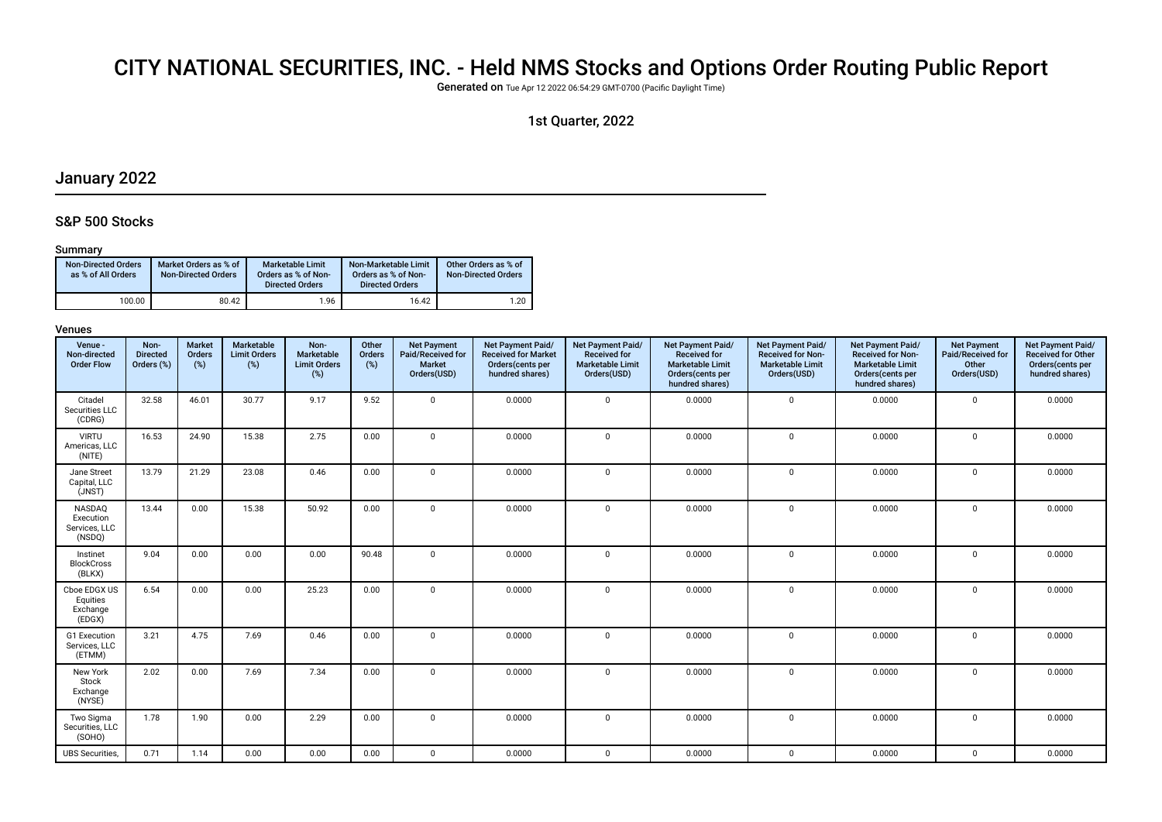# CITY NATIONAL SECURITIES, INC. - Held NMS Stocks and Options Order Routing Public Report

Generated on Tue Apr 12 2022 06:54:29 GMT-0700 (Pacifc Daylight Time)

## 1st Quarter, 2022

# January 2022

## S&P 500 Stocks

#### Summary

| <b>Non-Directed Orders</b><br>as % of All Orders | Market Orders as % of<br><b>Non-Directed Orders</b> | Marketable Limit<br>Orders as % of Non-<br><b>Directed Orders</b> | Non-Marketable Limit<br>Orders as % of Non-<br><b>Directed Orders</b> | Other Orders as % of<br><b>Non-Directed Orders</b> |
|--------------------------------------------------|-----------------------------------------------------|-------------------------------------------------------------------|-----------------------------------------------------------------------|----------------------------------------------------|
| 100.00                                           | 80.42                                               | 1.96                                                              | 16.42                                                                 | 1.20                                               |

| Venue -<br>Non-directed<br><b>Order Flow</b>   | Non-<br><b>Directed</b><br>Orders (%) | <b>Market</b><br>Orders<br>$(\%)$ | Marketable<br><b>Limit Orders</b><br>(%) | Non-<br>Marketable<br><b>Limit Orders</b><br>(%) | Other<br>Orders<br>(%) | <b>Net Payment</b><br>Paid/Received for<br><b>Market</b><br>Orders(USD) | Net Payment Paid/<br><b>Received for Market</b><br>Orders(cents per<br>hundred shares) | Net Payment Paid/<br><b>Received for</b><br><b>Marketable Limit</b><br>Orders(USD) | <b>Net Payment Paid/</b><br><b>Received for</b><br><b>Marketable Limit</b><br>Orders(cents per<br>hundred shares) | Net Payment Paid/<br><b>Received for Non-</b><br><b>Marketable Limit</b><br>Orders(USD) | Net Payment Paid/<br><b>Received for Non-</b><br><b>Marketable Limit</b><br>Orders(cents per<br>hundred shares) | <b>Net Payment</b><br>Paid/Received for<br>Other<br>Orders(USD) | Net Payment Paid/<br><b>Received for Other</b><br>Orders(cents per<br>hundred shares) |
|------------------------------------------------|---------------------------------------|-----------------------------------|------------------------------------------|--------------------------------------------------|------------------------|-------------------------------------------------------------------------|----------------------------------------------------------------------------------------|------------------------------------------------------------------------------------|-------------------------------------------------------------------------------------------------------------------|-----------------------------------------------------------------------------------------|-----------------------------------------------------------------------------------------------------------------|-----------------------------------------------------------------|---------------------------------------------------------------------------------------|
| Citadel<br>Securities LLC<br>(CDRG)            | 32.58                                 | 46.01                             | 30.77                                    | 9.17                                             | 9.52                   | $\mathbf 0$                                                             | 0.0000                                                                                 | $\mathbf 0$                                                                        | 0.0000                                                                                                            | $\mathbf 0$                                                                             | 0.0000                                                                                                          | $\mathbf 0$                                                     | 0.0000                                                                                |
| <b>VIRTU</b><br>Americas, LLC<br>(NITE)        | 16.53                                 | 24.90                             | 15.38                                    | 2.75                                             | 0.00                   | $\mathbf 0$                                                             | 0.0000                                                                                 | $\mathbf 0$                                                                        | 0.0000                                                                                                            | $\mathbf 0$                                                                             | 0.0000                                                                                                          | $\mathbf 0$                                                     | 0.0000                                                                                |
| Jane Street<br>Capital, LLC<br>(JNST)          | 13.79                                 | 21.29                             | 23.08                                    | 0.46                                             | 0.00                   | $\mathbf{0}$                                                            | 0.0000                                                                                 | $\mathbf 0$                                                                        | 0.0000                                                                                                            | $\mathbf 0$                                                                             | 0.0000                                                                                                          | $\mathbf 0$                                                     | 0.0000                                                                                |
| NASDAQ<br>Execution<br>Services, LLC<br>(NSDQ) | 13.44                                 | 0.00                              | 15.38                                    | 50.92                                            | 0.00                   | $\mathbf{0}$                                                            | 0.0000                                                                                 | $\mathbf 0$                                                                        | 0.0000                                                                                                            | $\mathbf 0$                                                                             | 0.0000                                                                                                          | $\mathbf 0$                                                     | 0.0000                                                                                |
| Instinet<br><b>BlockCross</b><br>(BLKX)        | 9.04                                  | 0.00                              | 0.00                                     | 0.00                                             | 90.48                  | $\mathbf{0}$                                                            | 0.0000                                                                                 | $\mathbf{0}$                                                                       | 0.0000                                                                                                            | 0                                                                                       | 0.0000                                                                                                          | $\mathbf 0$                                                     | 0.0000                                                                                |
| Cboe EDGX US<br>Equities<br>Exchange<br>(EDGX) | 6.54                                  | 0.00                              | 0.00                                     | 25.23                                            | 0.00                   | $\mathbf 0$                                                             | 0.0000                                                                                 | $\mathbf 0$                                                                        | 0.0000                                                                                                            | 0                                                                                       | 0.0000                                                                                                          | $\Omega$                                                        | 0.0000                                                                                |
| G1 Execution<br>Services, LLC<br>(ETMM)        | 3.21                                  | 4.75                              | 7.69                                     | 0.46                                             | 0.00                   | $\mathbf 0$                                                             | 0.0000                                                                                 | $\mathbf{0}$                                                                       | 0.0000                                                                                                            | $\mathbf 0$                                                                             | 0.0000                                                                                                          | $\Omega$                                                        | 0.0000                                                                                |
| New York<br>Stock<br>Exchange<br>(NYSE)        | 2.02                                  | 0.00                              | 7.69                                     | 7.34                                             | 0.00                   | $\mathbf 0$                                                             | 0.0000                                                                                 | $\mathbf 0$                                                                        | 0.0000                                                                                                            | $\mathbf 0$                                                                             | 0.0000                                                                                                          | $\Omega$                                                        | 0.0000                                                                                |
| Two Sigma<br>Securities, LLC<br>(SOHO)         | 1.78                                  | 1.90                              | 0.00                                     | 2.29                                             | 0.00                   | $\mathbf 0$                                                             | 0.0000                                                                                 | $\mathbf{0}$                                                                       | 0.0000                                                                                                            | 0                                                                                       | 0.0000                                                                                                          | $\mathbf 0$                                                     | 0.0000                                                                                |
| <b>UBS</b> Securities,                         | 0.71                                  | 1.14                              | 0.00                                     | 0.00                                             | 0.00                   | $\mathbf 0$                                                             | 0.0000                                                                                 | $\mathbf{0}$                                                                       | 0.0000                                                                                                            | $\mathbf 0$                                                                             | 0.0000                                                                                                          | $\mathbf 0$                                                     | 0.0000                                                                                |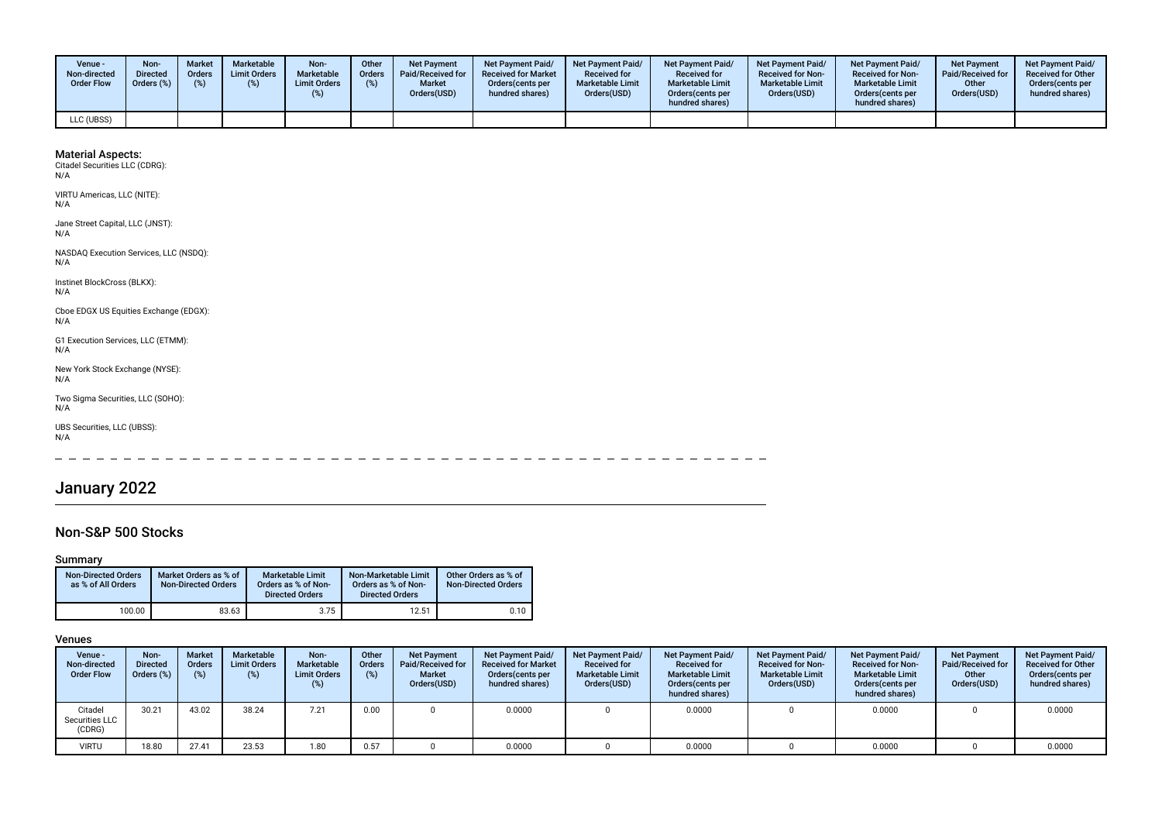| Venue -<br>Non-directed<br><b>Order Flow</b> | Non-<br><b>Directed</b><br>Orders (%) | <b>Market</b><br><b>Orders</b><br>(%) | <b>Marketable</b><br><b>Limit Orders</b> | Non-<br>Marketable<br><b>Limit Orders</b> | Other<br>Orders<br>(%) | <b>Net Payment</b><br><b>Paid/Received for</b><br><b>Market</b><br>Orders(USD) | <b>Net Payment Paid/</b><br><b>Received for Market</b><br>Orders (cents per<br>hundred shares) | <b>Net Payment Paid/</b><br><b>Received for</b><br><b>Marketable Limit</b><br>Orders(USD) | <b>Net Payment Paid/</b><br><b>Received for</b><br><b>Marketable Limit</b><br>Orders (cents per<br>hundred shares) | <b>Net Payment Paid/</b><br><b>Received for Non-</b><br><b>Marketable Limit</b><br>Orders(USD) | <b>Net Payment Paid/</b><br><b>Received for Non-</b><br><b>Marketable Limit</b><br>Orders(cents per<br>hundred shares) | Net Payment<br>Paid/Received for<br>Other<br>Orders(USD) | <b>Net Payment Paid/</b><br><b>Received for Other</b><br>Orders(cents per<br>hundred shares) |
|----------------------------------------------|---------------------------------------|---------------------------------------|------------------------------------------|-------------------------------------------|------------------------|--------------------------------------------------------------------------------|------------------------------------------------------------------------------------------------|-------------------------------------------------------------------------------------------|--------------------------------------------------------------------------------------------------------------------|------------------------------------------------------------------------------------------------|------------------------------------------------------------------------------------------------------------------------|----------------------------------------------------------|----------------------------------------------------------------------------------------------|
| LLC (UBSS)                                   |                                       |                                       |                                          |                                           |                        |                                                                                |                                                                                                |                                                                                           |                                                                                                                    |                                                                                                |                                                                                                                        |                                                          |                                                                                              |

VIRTU Americas, LLC (NITE): N/A

Jane Street Capital, LLC (JNST): N/A

NASDAQ Execution Services, LLC (NSDQ): N/A

Instinet BlockCross (BLKX): N/A

Cboe EDGX US Equities Exchange (EDGX): N/A

G1 Execution Services, LLC (ETMM): N/A

New York Stock Exchange (NYSE): N/A

Two Sigma Securities, LLC (SOHO): N/A

UBS Securities, LLC (UBSS): N/A

 $\overline{\phantom{a}}$  $\frac{1}{2}$ 

# January 2022

## Non-S&P 500 Stocks

### Summary

| <b>Non-Directed Orders</b><br>as % of All Orders | Market Orders as % of<br><b>Non-Directed Orders</b> | <b>Marketable Limit</b><br>Orders as % of Non-<br><b>Directed Orders</b> | Non-Marketable Limit<br>Orders as % of Non-<br><b>Directed Orders</b> | Other Orders as % of<br>Non-Directed Orders |
|--------------------------------------------------|-----------------------------------------------------|--------------------------------------------------------------------------|-----------------------------------------------------------------------|---------------------------------------------|
| 100.00                                           | 83.63                                               | 3.75                                                                     | 12.51                                                                 | 0.10                                        |

| Venue -<br>Non-directed<br><b>Order Flow</b> | Non-<br><b>Directed</b><br>Orders (%) | <b>Market</b><br><b>Orders</b><br>(%) | <b>Marketable</b><br><b>Limit Orders</b><br>(%) | Non-<br>Marketable<br><b>Limit Orders</b><br>(%) | Other<br>Orders<br>(%) | <b>Net Payment</b><br>Paid/Received for<br><b>Market</b><br>Orders(USD) | <b>Net Payment Paid/</b><br><b>Received for Market</b><br>Orders (cents per<br>hundred shares) | <b>Net Payment Paid/</b><br><b>Received for</b><br><b>Marketable Limit</b><br>Orders(USD) | <b>Net Payment Paid/</b><br><b>Received for</b><br><b>Marketable Limit</b><br>Orders (cents per<br>hundred shares) | <b>Net Payment Paid/</b><br><b>Received for Non-</b><br><b>Marketable Limit</b><br>Orders(USD) | <b>Net Payment Paid/</b><br><b>Received for Non-</b><br><b>Marketable Limit</b><br>Orders (cents per<br>hundred shares) | <b>Net Payment</b><br>Paid/Received for<br>Other<br>Orders(USD) | <b>Net Payment Paid/</b><br><b>Received for Other</b><br>Orders(cents per<br>hundred shares) |
|----------------------------------------------|---------------------------------------|---------------------------------------|-------------------------------------------------|--------------------------------------------------|------------------------|-------------------------------------------------------------------------|------------------------------------------------------------------------------------------------|-------------------------------------------------------------------------------------------|--------------------------------------------------------------------------------------------------------------------|------------------------------------------------------------------------------------------------|-------------------------------------------------------------------------------------------------------------------------|-----------------------------------------------------------------|----------------------------------------------------------------------------------------------|
| Citadel<br>Securities LLC<br>(CDRG)          | 30.21                                 | 43.02                                 | 38.24                                           | 7.21                                             | 0.00                   |                                                                         | 0.0000                                                                                         |                                                                                           | 0.0000                                                                                                             |                                                                                                | 0.0000                                                                                                                  |                                                                 | 0.0000                                                                                       |
| <b>VIRTU</b>                                 | 18.80                                 | 27.41                                 | 23.53                                           | 1.80                                             | 0.57                   |                                                                         | 0.0000                                                                                         |                                                                                           | 0.0000                                                                                                             |                                                                                                | 0.0000                                                                                                                  |                                                                 | 0.0000                                                                                       |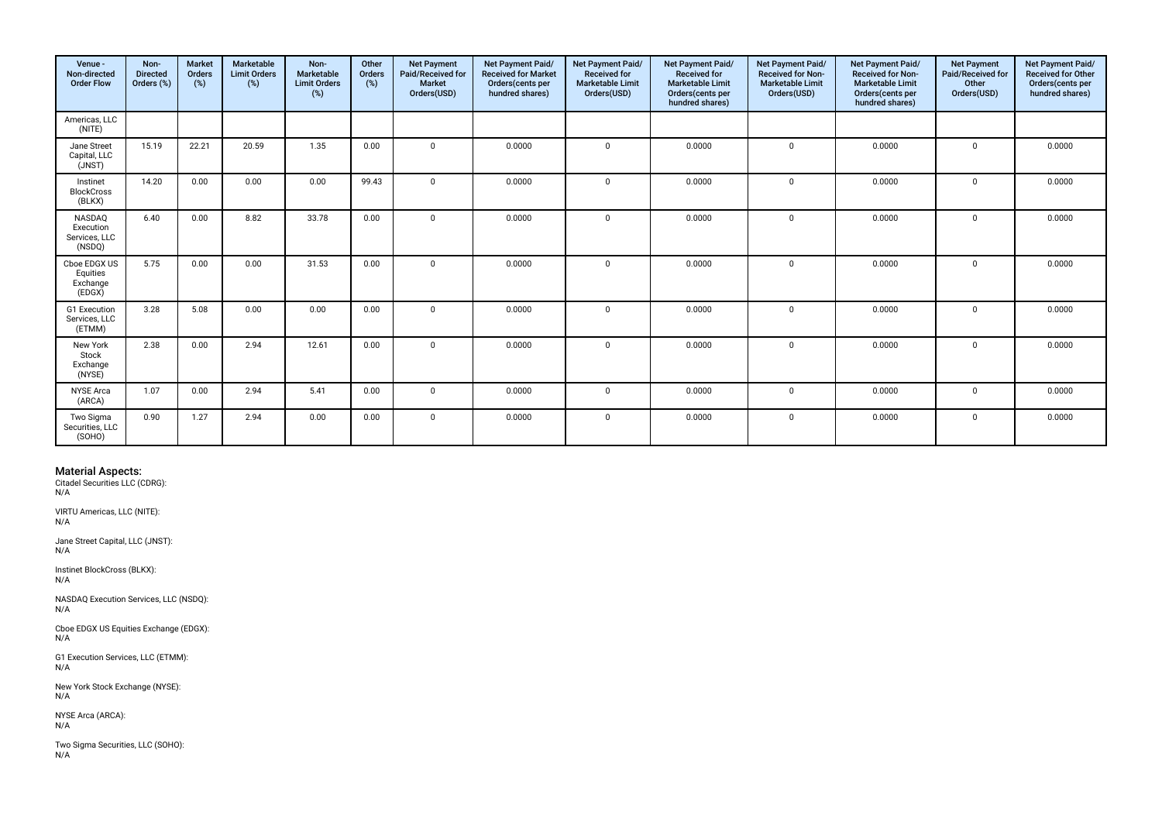| Venue -<br>Non-directed<br><b>Order Flow</b>          | Non-<br><b>Directed</b><br>Orders (%) | <b>Market</b><br><b>Orders</b><br>(%) | Marketable<br><b>Limit Orders</b><br>(%) | Non-<br>Marketable<br><b>Limit Orders</b><br>(%) | Other<br>Orders<br>(%) | <b>Net Payment</b><br>Paid/Received for<br><b>Market</b><br>Orders(USD) | Net Payment Paid/<br><b>Received for Market</b><br>Orders(cents per<br>hundred shares) | Net Payment Paid/<br><b>Received for</b><br><b>Marketable Limit</b><br>Orders(USD) | Net Payment Paid/<br><b>Received for</b><br><b>Marketable Limit</b><br>Orders(cents per<br>hundred shares) | Net Payment Paid/<br><b>Received for Non-</b><br><b>Marketable Limit</b><br>Orders(USD) | Net Payment Paid/<br><b>Received for Non-</b><br><b>Marketable Limit</b><br>Orders(cents per<br>hundred shares) | <b>Net Payment</b><br>Paid/Received for<br>Other<br>Orders(USD) | Net Payment Paid/<br><b>Received for Other</b><br>Orders(cents per<br>hundred shares) |
|-------------------------------------------------------|---------------------------------------|---------------------------------------|------------------------------------------|--------------------------------------------------|------------------------|-------------------------------------------------------------------------|----------------------------------------------------------------------------------------|------------------------------------------------------------------------------------|------------------------------------------------------------------------------------------------------------|-----------------------------------------------------------------------------------------|-----------------------------------------------------------------------------------------------------------------|-----------------------------------------------------------------|---------------------------------------------------------------------------------------|
| Americas, LLC<br>(NITE)                               |                                       |                                       |                                          |                                                  |                        |                                                                         |                                                                                        |                                                                                    |                                                                                                            |                                                                                         |                                                                                                                 |                                                                 |                                                                                       |
| Jane Street<br>Capital, LLC<br>(JNST)                 | 15.19                                 | 22.21                                 | 20.59                                    | 1.35                                             | 0.00                   | $\mathbf 0$                                                             | 0.0000                                                                                 | $\Omega$                                                                           | 0.0000                                                                                                     | $\mathbf 0$                                                                             | 0.0000                                                                                                          | $\mathbf 0$                                                     | 0.0000                                                                                |
| Instinet<br><b>BlockCross</b><br>(BLKX)               | 14.20                                 | 0.00                                  | 0.00                                     | 0.00                                             | 99.43                  | $\Omega$                                                                | 0.0000                                                                                 | $\Omega$                                                                           | 0.0000                                                                                                     | $\mathbf 0$                                                                             | 0.0000                                                                                                          | $\Omega$                                                        | 0.0000                                                                                |
| <b>NASDAQ</b><br>Execution<br>Services, LLC<br>(NSDQ) | 6.40                                  | 0.00                                  | 8.82                                     | 33.78                                            | 0.00                   | $\Omega$                                                                | 0.0000                                                                                 | $\Omega$                                                                           | 0.0000                                                                                                     | $\mathbf 0$                                                                             | 0.0000                                                                                                          | $\mathbf 0$                                                     | 0.0000                                                                                |
| Cboe EDGX US<br>Equities<br>Exchange<br>(EDGX)        | 5.75                                  | 0.00                                  | 0.00                                     | 31.53                                            | 0.00                   | $\Omega$                                                                | 0.0000                                                                                 | $\Omega$                                                                           | 0.0000                                                                                                     | $\mathbf 0$                                                                             | 0.0000                                                                                                          | $\mathbf 0$                                                     | 0.0000                                                                                |
| G1 Execution<br>Services, LLC<br>(ETMM)               | 3.28                                  | 5.08                                  | 0.00                                     | 0.00                                             | 0.00                   | $\Omega$                                                                | 0.0000                                                                                 | $\Omega$                                                                           | 0.0000                                                                                                     | $\mathbf 0$                                                                             | 0.0000                                                                                                          | $\mathbf 0$                                                     | 0.0000                                                                                |
| New York<br>Stock<br>Exchange<br>(NYSE)               | 2.38                                  | 0.00                                  | 2.94                                     | 12.61                                            | 0.00                   | $\mathbf 0$                                                             | 0.0000                                                                                 | $\Omega$                                                                           | 0.0000                                                                                                     | $\mathbf 0$                                                                             | 0.0000                                                                                                          | 0                                                               | 0.0000                                                                                |
| <b>NYSE Arca</b><br>(ARCA)                            | 1.07                                  | 0.00                                  | 2.94                                     | 5.41                                             | 0.00                   | $\Omega$                                                                | 0.0000                                                                                 | $\Omega$                                                                           | 0.0000                                                                                                     | $\mathbf{0}$                                                                            | 0.0000                                                                                                          | $\mathbf{0}$                                                    | 0.0000                                                                                |
| Two Sigma<br>Securities, LLC<br>(SOHO)                | 0.90                                  | 1.27                                  | 2.94                                     | 0.00                                             | 0.00                   | $\mathbf 0$                                                             | 0.0000                                                                                 | $\Omega$                                                                           | 0.0000                                                                                                     | $\mathbf 0$                                                                             | 0.0000                                                                                                          | $\mathbf 0$                                                     | 0.0000                                                                                |

VIRTU Americas, LLC (NITE): N/A

Jane Street Capital, LLC (JNST): N/A

Instinet BlockCross (BLKX): N/A

NASDAQ Execution Services, LLC (NSDQ): N/A

Cboe EDGX US Equities Exchange (EDGX): N/A

G1 Execution Services, LLC (ETMM):  $N/A$ 

New York Stock Exchange (NYSE): N/A

NYSE Arca (ARCA): N/A

Two Sigma Securities, LLC (SOHO): N/A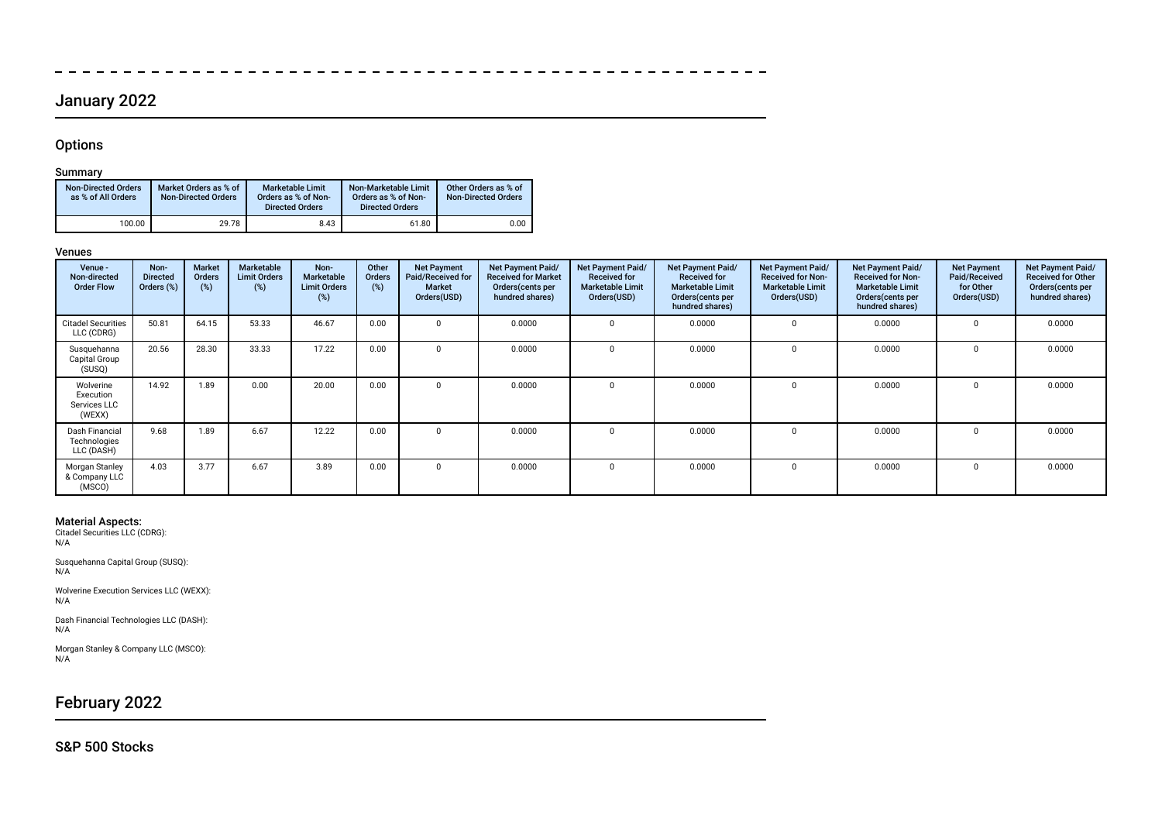# January 2022

 $\overline{\phantom{a}}$  $-$ 

## **Options**

 $\overline{\phantom{0}}$ 

## Summary

| <b>Non-Directed Orders</b><br>as % of All Orders | Market Orders as % of<br><b>Non-Directed Orders</b> | <b>Marketable Limit</b><br>Orders as % of Non-<br><b>Directed Orders</b> | Non-Marketable Limit<br>Orders as % of Non-<br><b>Directed Orders</b> | Other Orders as % of<br><b>Non-Directed Orders</b> |
|--------------------------------------------------|-----------------------------------------------------|--------------------------------------------------------------------------|-----------------------------------------------------------------------|----------------------------------------------------|
| 100.00                                           | 29.78                                               | 8.43                                                                     | 61.80                                                                 | 0.00                                               |

### Venues

| Venue -<br>Non-directed<br><b>Order Flow</b>     | Non-<br><b>Directed</b><br>Orders (%) | <b>Market</b><br>Orders<br>(%) | Marketable<br><b>Limit Orders</b><br>(%) | Non-<br>Marketable<br><b>Limit Orders</b><br>(%) | Other<br><b>Orders</b><br>(%) | <b>Net Payment</b><br>Paid/Received for<br>Market<br>Orders(USD) | Net Payment Paid/<br><b>Received for Market</b><br>Orders (cents per<br>hundred shares) | <b>Net Payment Paid/</b><br><b>Received for</b><br><b>Marketable Limit</b><br>Orders(USD) | <b>Net Payment Paid/</b><br><b>Received for</b><br><b>Marketable Limit</b><br>Orders (cents per<br>hundred shares) | Net Payment Paid/<br><b>Received for Non-</b><br><b>Marketable Limit</b><br>Orders(USD) | Net Payment Paid/<br><b>Received for Non-</b><br><b>Marketable Limit</b><br>Orders (cents per<br>hundred shares) | <b>Net Payment</b><br>Paid/Received<br>for Other<br>Orders(USD) | Net Payment Paid/<br><b>Received for Other</b><br>Orders(cents per<br>hundred shares) |
|--------------------------------------------------|---------------------------------------|--------------------------------|------------------------------------------|--------------------------------------------------|-------------------------------|------------------------------------------------------------------|-----------------------------------------------------------------------------------------|-------------------------------------------------------------------------------------------|--------------------------------------------------------------------------------------------------------------------|-----------------------------------------------------------------------------------------|------------------------------------------------------------------------------------------------------------------|-----------------------------------------------------------------|---------------------------------------------------------------------------------------|
| <b>Citadel Securities</b><br>LLC (CDRG)          | 50.81                                 | 64.15                          | 53.33                                    | 46.67                                            | 0.00                          | $\Omega$                                                         | 0.0000                                                                                  | $\Omega$                                                                                  | 0.0000                                                                                                             |                                                                                         | 0.0000                                                                                                           | $\Omega$                                                        | 0.0000                                                                                |
| Susquehanna<br>Capital Group<br>(SUSQ)           | 20.56                                 | 28.30                          | 33.33                                    | 17.22                                            | 0.00                          | $\Omega$                                                         | 0.0000                                                                                  |                                                                                           | 0.0000                                                                                                             |                                                                                         | 0.0000                                                                                                           | 0                                                               | 0.0000                                                                                |
| Wolverine<br>Execution<br>Services LLC<br>(WEXX) | 14.92                                 | 1.89                           | 0.00                                     | 20.00                                            | 0.00                          | $\Omega$                                                         | 0.0000                                                                                  |                                                                                           | 0.0000                                                                                                             |                                                                                         | 0.0000                                                                                                           | $\Omega$                                                        | 0.0000                                                                                |
| Dash Financial<br>Technologies<br>LLC (DASH)     | 9.68                                  | 1.89                           | 6.67                                     | 12.22                                            | 0.00                          | $\Omega$                                                         | 0.0000                                                                                  |                                                                                           | 0.0000                                                                                                             |                                                                                         | 0.0000                                                                                                           | 0                                                               | 0.0000                                                                                |
| Morgan Stanley<br>& Company LLC<br>(MSCO)        | 4.03                                  | 3.77                           | 6.67                                     | 3.89                                             | 0.00                          | $\Omega$                                                         | 0.0000                                                                                  |                                                                                           | 0.0000                                                                                                             |                                                                                         | 0.0000                                                                                                           | $\Omega$                                                        | 0.0000                                                                                |

Material Aspects: Citadel Securities LLC (CDRG): N/A

Susquehanna Capital Group (SUSQ): N/A

Wolverine Execution Services LLC (WEXX):  $N/A$ 

Dash Financial Technologies LLC (DASH): N/A

Morgan Stanley & Company LLC (MSCO): N/A

# February 2022

## S&P 500 Stocks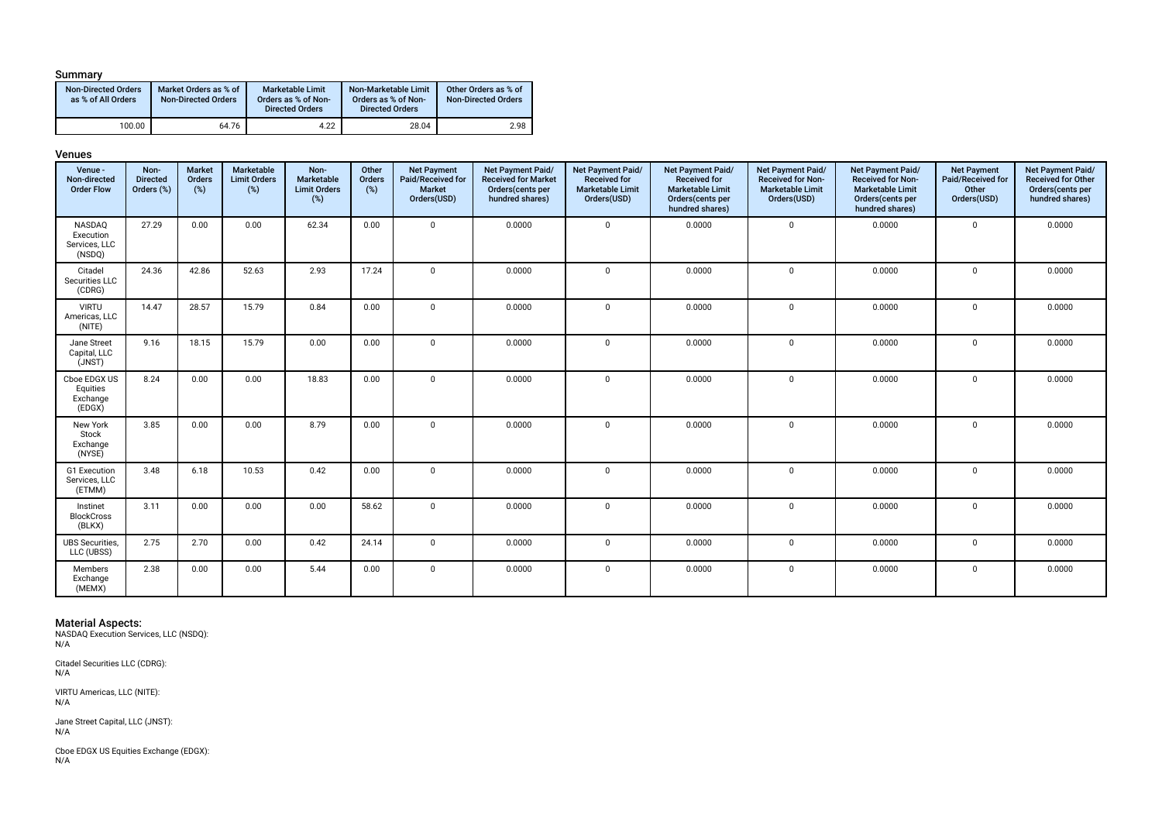### Summary

| <b>Non-Directed Orders</b><br>as % of All Orders | Market Orders as % of<br><b>Non-Directed Orders</b> | <b>Marketable Limit</b><br>Orders as % of Non-<br><b>Directed Orders</b> | Non-Marketable Limit<br>Orders as % of Non-<br><b>Directed Orders</b> | Other Orders as % of<br><b>Non-Directed Orders</b> |
|--------------------------------------------------|-----------------------------------------------------|--------------------------------------------------------------------------|-----------------------------------------------------------------------|----------------------------------------------------|
| 100.00                                           | 64.76                                               | 4.22                                                                     | 28.04                                                                 | 2.98                                               |

#### Venues

| Venue -<br>Non-directed<br><b>Order Flow</b>   | Non-<br><b>Directed</b><br>Orders (%) | Market<br>Orders<br>(%) | Marketable<br><b>Limit Orders</b><br>(%) | Non-<br>Marketable<br><b>Limit Orders</b><br>$(\%)$ | Other<br>Orders<br>$(\%)$ | <b>Net Payment</b><br>Paid/Received for<br><b>Market</b><br>Orders(USD) | Net Payment Paid/<br><b>Received for Market</b><br>Orders(cents per<br>hundred shares) | <b>Net Payment Paid/</b><br><b>Received for</b><br><b>Marketable Limit</b><br>Orders(USD) | Net Payment Paid/<br><b>Received for</b><br><b>Marketable Limit</b><br>Orders(cents per<br>hundred shares) | Net Payment Paid/<br><b>Received for Non-</b><br><b>Marketable Limit</b><br>Orders(USD) | Net Payment Paid/<br><b>Received for Non-</b><br><b>Marketable Limit</b><br>Orders(cents per<br>hundred shares) | <b>Net Payment</b><br>Paid/Received for<br>Other<br>Orders(USD) | Net Payment Paid/<br><b>Received for Other</b><br>Orders(cents per<br>hundred shares) |
|------------------------------------------------|---------------------------------------|-------------------------|------------------------------------------|-----------------------------------------------------|---------------------------|-------------------------------------------------------------------------|----------------------------------------------------------------------------------------|-------------------------------------------------------------------------------------------|------------------------------------------------------------------------------------------------------------|-----------------------------------------------------------------------------------------|-----------------------------------------------------------------------------------------------------------------|-----------------------------------------------------------------|---------------------------------------------------------------------------------------|
| NASDAQ<br>Execution<br>Services, LLC<br>(NSDQ) | 27.29                                 | 0.00                    | 0.00                                     | 62.34                                               | 0.00                      | $\Omega$                                                                | 0.0000                                                                                 | $\mathbf 0$                                                                               | 0.0000                                                                                                     | $\mathbf 0$                                                                             | 0.0000                                                                                                          | $\mathbf 0$                                                     | 0.0000                                                                                |
| Citadel<br>Securities LLC<br>(CDRG)            | 24.36                                 | 42.86                   | 52.63                                    | 2.93                                                | 17.24                     | $\Omega$                                                                | 0.0000                                                                                 | $\Omega$                                                                                  | 0.0000                                                                                                     | $\mathbf 0$                                                                             | 0.0000                                                                                                          | $\mathbf 0$                                                     | 0.0000                                                                                |
| <b>VIRTU</b><br>Americas, LLC<br>(NITE)        | 14.47                                 | 28.57                   | 15.79                                    | 0.84                                                | 0.00                      | $\Omega$                                                                | 0.0000                                                                                 | $\mathbf 0$                                                                               | 0.0000                                                                                                     | $\mathbf 0$                                                                             | 0.0000                                                                                                          | $\mathbf 0$                                                     | 0.0000                                                                                |
| Jane Street<br>Capital, LLC<br>(JNST)          | 9.16                                  | 18.15                   | 15.79                                    | 0.00                                                | 0.00                      | $\Omega$                                                                | 0.0000                                                                                 | $\mathbf 0$                                                                               | 0.0000                                                                                                     | $\mathbf 0$                                                                             | 0.0000                                                                                                          | $\mathbf 0$                                                     | 0.0000                                                                                |
| Cboe EDGX US<br>Equities<br>Exchange<br>(EDGX) | 8.24                                  | 0.00                    | 0.00                                     | 18.83                                               | 0.00                      | $\Omega$                                                                | 0.0000                                                                                 | $\mathbf 0$                                                                               | 0.0000                                                                                                     | $\mathbf 0$                                                                             | 0.0000                                                                                                          | $\mathbf 0$                                                     | 0.0000                                                                                |
| New York<br>Stock<br>Exchange<br>(NYSE)        | 3.85                                  | 0.00                    | 0.00                                     | 8.79                                                | 0.00                      | $\Omega$                                                                | 0.0000                                                                                 | $\mathbf 0$                                                                               | 0.0000                                                                                                     | $\mathbf{0}$                                                                            | 0.0000                                                                                                          | $\mathbf 0$                                                     | 0.0000                                                                                |
| <b>G1</b> Execution<br>Services, LLC<br>(ETMM) | 3.48                                  | 6.18                    | 10.53                                    | 0.42                                                | 0.00                      | <sup>n</sup>                                                            | 0.0000                                                                                 | $\mathbf 0$                                                                               | 0.0000                                                                                                     | $\mathbf 0$                                                                             | 0.0000                                                                                                          | $\mathbf 0$                                                     | 0.0000                                                                                |
| Instinet<br><b>BlockCross</b><br>(BLKX)        | 3.11                                  | 0.00                    | 0.00                                     | 0.00                                                | 58.62                     | $\mathbf 0$                                                             | 0.0000                                                                                 | $\mathbf 0$                                                                               | 0.0000                                                                                                     | $\mathbf 0$                                                                             | 0.0000                                                                                                          | $\mathbf 0$                                                     | 0.0000                                                                                |
| <b>UBS</b> Securities,<br>LLC (UBSS)           | 2.75                                  | 2.70                    | 0.00                                     | 0.42                                                | 24.14                     | $\Omega$                                                                | 0.0000                                                                                 | $\mathbf 0$                                                                               | 0.0000                                                                                                     | $\mathbf 0$                                                                             | 0.0000                                                                                                          | $\mathbf 0$                                                     | 0.0000                                                                                |
| Members<br>Exchange<br>(MEMX)                  | 2.38                                  | 0.00                    | 0.00                                     | 5.44                                                | 0.00                      | $\Omega$                                                                | 0.0000                                                                                 | $\mathbf 0$                                                                               | 0.0000                                                                                                     | $\mathbf 0$                                                                             | 0.0000                                                                                                          | $\mathbf 0$                                                     | 0.0000                                                                                |

**Material Aspects:**<br>NASDAQ Execution Services, LLC (NSDQ):<br>N/A

Citadel Securities LLC (CDRG): N/A

VIRTU Americas, LLC (NITE):  $N/A$ 

Jane Street Capital, LLC (JNST): N/A

Cboe EDGX US Equities Exchange (EDGX): N/A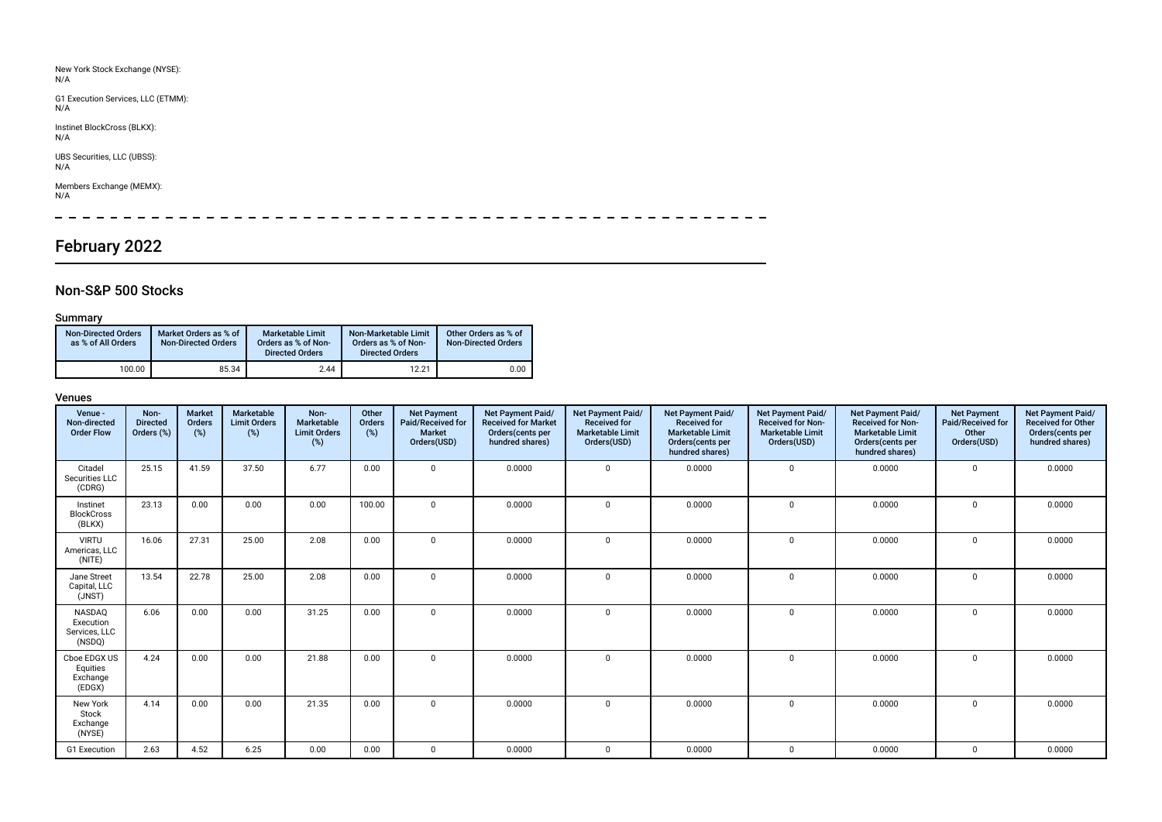| New York Stock Exchange (NYSE):<br>N/A    |
|-------------------------------------------|
| G1 Execution Services, LLC (ETMM):<br>N/A |
| Instinet BlockCross (BLKX):<br>N/A        |
| UBS Securities, LLC (UBSS):<br>N/A        |
| Members Exchange (MEMX):<br>N/A           |
|                                           |

# February 2022

# Non-S&P 500 Stocks

## Summary

| Non-Directed Orders<br>as % of All Orders | Market Orders as % of<br><b>Non-Directed Orders</b> | <b>Marketable Limit</b><br>Orders as % of Non-<br><b>Directed Orders</b> | Non-Marketable Limit<br>Orders as % of Non-<br><b>Directed Orders</b> | Other Orders as % of<br><b>Non-Directed Orders</b> |
|-------------------------------------------|-----------------------------------------------------|--------------------------------------------------------------------------|-----------------------------------------------------------------------|----------------------------------------------------|
| 100.00                                    | 85.34                                               | 2.44                                                                     | 12.21                                                                 | 0.00                                               |

| Venue -<br>Non-directed<br><b>Order Flow</b>          | Non-<br><b>Directed</b><br>Orders (%) | <b>Market</b><br>Orders<br>(%) | Marketable<br><b>Limit Orders</b><br>(%) | Non-<br>Marketable<br><b>Limit Orders</b><br>(%) | Other<br>Orders<br>(%) | <b>Net Payment</b><br>Paid/Received for<br><b>Market</b><br>Orders(USD) | Net Payment Paid/<br><b>Received for Market</b><br>Orders (cents per<br>hundred shares) | Net Payment Paid/<br><b>Received for</b><br><b>Marketable Limit</b><br>Orders(USD) | Net Payment Paid/<br><b>Received for</b><br><b>Marketable Limit</b><br>Orders(cents per<br>hundred shares) | Net Payment Paid/<br><b>Received for Non-</b><br><b>Marketable Limit</b><br>Orders(USD) | Net Payment Paid/<br><b>Received for Non-</b><br><b>Marketable Limit</b><br>Orders(cents per<br>hundred shares) | <b>Net Payment</b><br>Paid/Received for<br>Other<br>Orders(USD) | Net Payment Paid/<br><b>Received for Other</b><br>Orders(cents per<br>hundred shares) |
|-------------------------------------------------------|---------------------------------------|--------------------------------|------------------------------------------|--------------------------------------------------|------------------------|-------------------------------------------------------------------------|-----------------------------------------------------------------------------------------|------------------------------------------------------------------------------------|------------------------------------------------------------------------------------------------------------|-----------------------------------------------------------------------------------------|-----------------------------------------------------------------------------------------------------------------|-----------------------------------------------------------------|---------------------------------------------------------------------------------------|
| Citadel<br>Securities LLC<br>(CDRG)                   | 25.15                                 | 41.59                          | 37.50                                    | 6.77                                             | 0.00                   | $\Omega$                                                                | 0.0000                                                                                  | $\mathbf 0$                                                                        | 0.0000                                                                                                     | $\mathbf 0$                                                                             | 0.0000                                                                                                          | $\mathbf 0$                                                     | 0.0000                                                                                |
| Instinet<br><b>BlockCross</b><br>(BLKX)               | 23.13                                 | 0.00                           | 0.00                                     | 0.00                                             | 100.00                 | $\Omega$                                                                | 0.0000                                                                                  | $\Omega$                                                                           | 0.0000                                                                                                     | $\Omega$                                                                                | 0.0000                                                                                                          | $\Omega$                                                        | 0.0000                                                                                |
| <b>VIRTU</b><br>Americas, LLC<br>(NITE)               | 16.06                                 | 27.31                          | 25.00                                    | 2.08                                             | 0.00                   | O                                                                       | 0.0000                                                                                  | $\Omega$                                                                           | 0.0000                                                                                                     | $\Omega$                                                                                | 0.0000                                                                                                          | $\Omega$                                                        | 0.0000                                                                                |
| Jane Street<br>Capital, LLC<br>(JNST)                 | 13.54                                 | 22.78                          | 25.00                                    | 2.08                                             | 0.00                   | $\Omega$                                                                | 0.0000                                                                                  | $\Omega$                                                                           | 0.0000                                                                                                     | $\Omega$                                                                                | 0.0000                                                                                                          | $\Omega$                                                        | 0.0000                                                                                |
| <b>NASDAO</b><br>Execution<br>Services, LLC<br>(NSDQ) | 6.06                                  | 0.00                           | 0.00                                     | 31.25                                            | 0.00                   | $\Omega$                                                                | 0.0000                                                                                  | $\mathbf 0$                                                                        | 0.0000                                                                                                     | $\mathbf{0}$                                                                            | 0.0000                                                                                                          | $\mathbf 0$                                                     | 0.0000                                                                                |
| Cboe EDGX US<br>Equities<br>Exchange<br>(EDGX)        | 4.24                                  | 0.00                           | 0.00                                     | 21.88                                            | 0.00                   | $\Omega$                                                                | 0.0000                                                                                  | $\mathbf 0$                                                                        | 0.0000                                                                                                     | $\Omega$                                                                                | 0.0000                                                                                                          | $\mathbf 0$                                                     | 0.0000                                                                                |
| New York<br>Stock<br>Exchange<br>(NYSE)               | 4.14                                  | 0.00                           | 0.00                                     | 21.35                                            | 0.00                   | $\mathbf{0}$                                                            | 0.0000                                                                                  | $\mathbf 0$                                                                        | 0.0000                                                                                                     | $\mathbf{0}$                                                                            | 0.0000                                                                                                          | $\mathbf 0$                                                     | 0.0000                                                                                |
| G1 Execution                                          | 2.63                                  | 4.52                           | 6.25                                     | 0.00                                             | 0.00                   | $\Omega$                                                                | 0.0000                                                                                  | 0                                                                                  | 0.0000                                                                                                     | $\Omega$                                                                                | 0.0000                                                                                                          | $\Omega$                                                        | 0.0000                                                                                |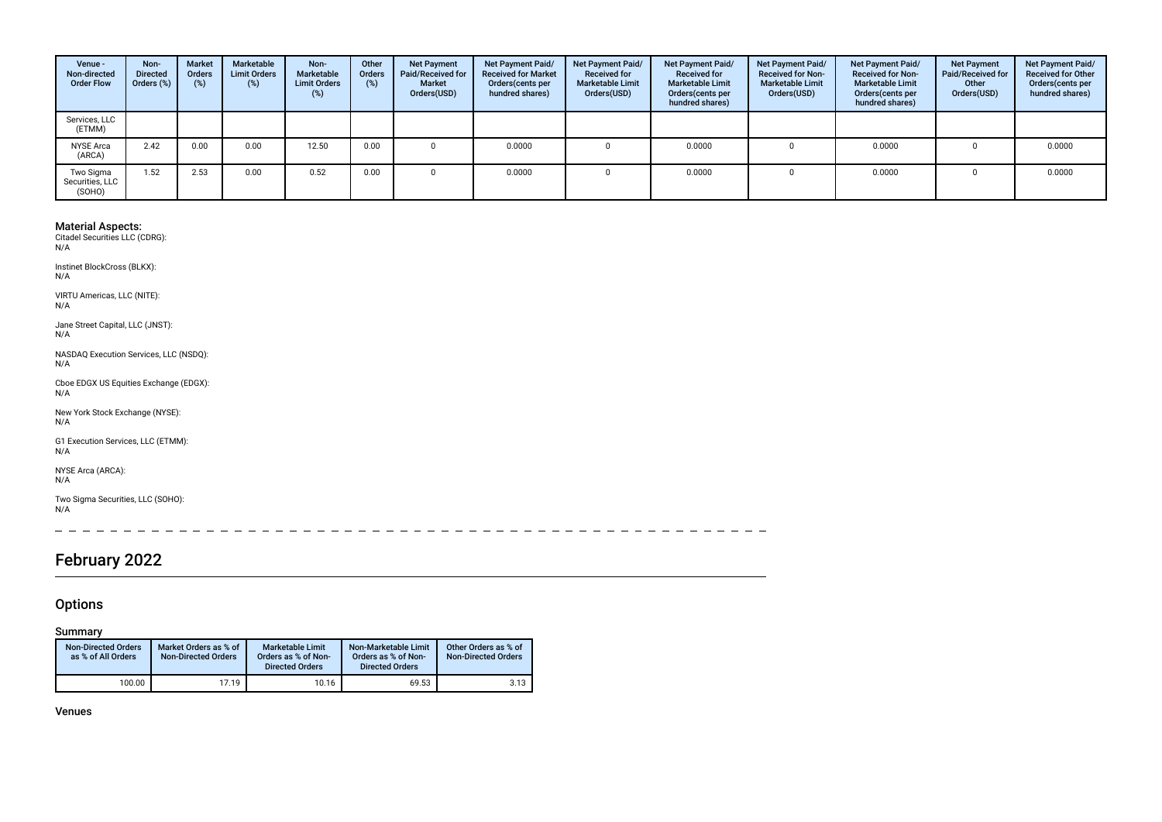| Venue -<br>Non-directed<br><b>Order Flow</b> | Non-<br><b>Directed</b><br>Orders (%) | <b>Market</b><br><b>Orders</b><br>(%) | Marketable<br><b>Limit Orders</b><br>$(\%)$ | Non-<br><b>Marketable</b><br><b>Limit Orders</b><br>$(\%)$ | Other<br>Orders<br>(%) | <b>Net Payment</b><br>Paid/Received for<br>Market<br>Orders(USD) | Net Payment Paid/<br><b>Received for Market</b><br>Orders(cents per<br>hundred shares) | Net Payment Paid/<br><b>Received for</b><br><b>Marketable Limit</b><br>Orders(USD) | Net Payment Paid/<br><b>Received for</b><br><b>Marketable Limit</b><br>Orders (cents per<br>hundred shares) | Net Payment Paid/<br><b>Received for Non-</b><br><b>Marketable Limit</b><br>Orders(USD) | Net Payment Paid/<br><b>Received for Non-</b><br><b>Marketable Limit</b><br>Orders(cents per<br>hundred shares) | <b>Net Payment</b><br>Paid/Received for<br>Other<br>Orders(USD) | Net Payment Paid/<br><b>Received for Other</b><br>Orders(cents per<br>hundred shares) |
|----------------------------------------------|---------------------------------------|---------------------------------------|---------------------------------------------|------------------------------------------------------------|------------------------|------------------------------------------------------------------|----------------------------------------------------------------------------------------|------------------------------------------------------------------------------------|-------------------------------------------------------------------------------------------------------------|-----------------------------------------------------------------------------------------|-----------------------------------------------------------------------------------------------------------------|-----------------------------------------------------------------|---------------------------------------------------------------------------------------|
| Services, LLC<br>(ETMM)                      |                                       |                                       |                                             |                                                            |                        |                                                                  |                                                                                        |                                                                                    |                                                                                                             |                                                                                         |                                                                                                                 |                                                                 |                                                                                       |
| <b>NYSE Arca</b><br>(ARCA)                   | 2.42                                  | 0.00                                  | 0.00                                        | 12.50                                                      | 0.00                   |                                                                  | 0.0000                                                                                 |                                                                                    | 0.0000                                                                                                      |                                                                                         | 0.0000                                                                                                          |                                                                 | 0.0000                                                                                |
| Two Sigma<br>Securities, LLC<br>(SOHO)       | 1.52                                  | 2.53                                  | 0.00                                        | 0.52                                                       | 0.00                   |                                                                  | 0.0000                                                                                 |                                                                                    | 0.0000                                                                                                      |                                                                                         | 0.0000                                                                                                          |                                                                 | 0.0000                                                                                |

Instinet BlockCross (BLKX): N/A

VIRTU Americas, LLC (NITE): N/A

Jane Street Capital, LLC (JNST): N/A

NASDAQ Execution Services, LLC (NSDQ): N/A

Cboe EDGX US Equities Exchange (EDGX): N/A

New York Stock Exchange (NYSE):  $N/A$ 

G1 Execution Services, LLC (ETMM): N/A

NYSE Arca (ARCA): N/A

Two Sigma Securities, LLC (SOHO): N/A

 $\sim$  $\equiv$  $\sim$  $\sim$   $\sim$  $\sim$   $\sim$  $\sim$  $-$ 

# February 2022

## **Options**

Summary

| <b>Non-Directed Orders</b><br>as % of All Orders | Market Orders as % of<br><b>Non-Directed Orders</b> | <b>Marketable Limit</b><br>Orders as % of Non-<br><b>Directed Orders</b> | Non-Marketable Limit<br>Orders as % of Non-<br><b>Directed Orders</b> | Other Orders as % of<br><b>Non-Directed Orders</b> |
|--------------------------------------------------|-----------------------------------------------------|--------------------------------------------------------------------------|-----------------------------------------------------------------------|----------------------------------------------------|
| 100.00                                           | 17.19                                               | 10.16                                                                    | 69.53                                                                 | 3.13                                               |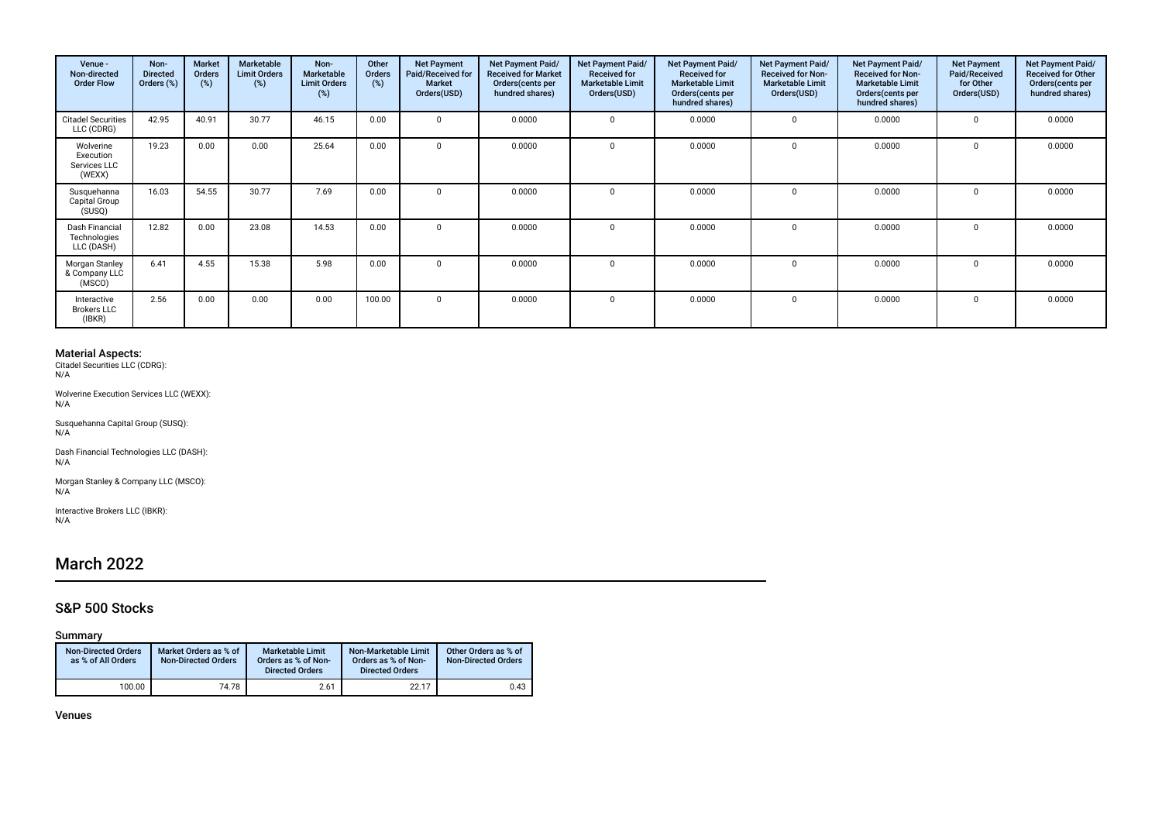| Venue -<br>Non-directed<br><b>Order Flow</b>     | Non-<br><b>Directed</b><br>Orders (%) | <b>Market</b><br><b>Orders</b><br>(%) | Marketable<br><b>Limit Orders</b><br>(%) | Non-<br>Marketable<br><b>Limit Orders</b><br>(%) | Other<br><b>Orders</b><br>(%) | <b>Net Payment</b><br>Paid/Received for<br>Market<br>Orders(USD) | Net Payment Paid/<br><b>Received for Market</b><br>Orders (cents per<br>hundred shares) | Net Payment Paid/<br><b>Received for</b><br><b>Marketable Limit</b><br>Orders(USD) | Net Payment Paid/<br><b>Received for</b><br><b>Marketable Limit</b><br>Orders(cents per<br>hundred shares) | <b>Net Payment Paid/</b><br><b>Received for Non-</b><br><b>Marketable Limit</b><br>Orders(USD) | <b>Net Payment Paid/</b><br><b>Received for Non-</b><br><b>Marketable Limit</b><br>Orders (cents per<br>hundred shares) | <b>Net Payment</b><br>Paid/Received<br>for Other<br>Orders(USD) | Net Payment Paid/<br><b>Received for Other</b><br>Orders (cents per<br>hundred shares) |
|--------------------------------------------------|---------------------------------------|---------------------------------------|------------------------------------------|--------------------------------------------------|-------------------------------|------------------------------------------------------------------|-----------------------------------------------------------------------------------------|------------------------------------------------------------------------------------|------------------------------------------------------------------------------------------------------------|------------------------------------------------------------------------------------------------|-------------------------------------------------------------------------------------------------------------------------|-----------------------------------------------------------------|----------------------------------------------------------------------------------------|
| <b>Citadel Securities</b><br>LLC (CDRG)          | 42.95                                 | 40.91                                 | 30.77                                    | 46.15                                            | 0.00                          |                                                                  | 0.0000                                                                                  | $\Omega$                                                                           | 0.0000                                                                                                     | $\Omega$                                                                                       | 0.0000                                                                                                                  | $\Omega$                                                        | 0.0000                                                                                 |
| Wolverine<br>Execution<br>Services LLC<br>(WEXX) | 19.23                                 | 0.00                                  | 0.00                                     | 25.64                                            | 0.00                          | $\Omega$                                                         | 0.0000                                                                                  | $\Omega$                                                                           | 0.0000                                                                                                     | $\Omega$                                                                                       | 0.0000                                                                                                                  | 0                                                               | 0.0000                                                                                 |
| Susquehanna<br>Capital Group<br>(SUSQ)           | 16.03                                 | 54.55                                 | 30.77                                    | 7.69                                             | 0.00                          |                                                                  | 0.0000                                                                                  | $\Omega$                                                                           | 0.0000                                                                                                     | $\Omega$                                                                                       | 0.0000                                                                                                                  | $\Omega$                                                        | 0.0000                                                                                 |
| Dash Financial<br>Technologies<br>LLC (DASH)     | 12.82                                 | 0.00                                  | 23.08                                    | 14.53                                            | 0.00                          |                                                                  | 0.0000                                                                                  | $\Omega$                                                                           | 0.0000                                                                                                     | $\Omega$                                                                                       | 0.0000                                                                                                                  | 0                                                               | 0.0000                                                                                 |
| Morgan Stanley<br>& Company LLC<br>(MSCO)        | 6.41                                  | 4.55                                  | 15.38                                    | 5.98                                             | 0.00                          | $\Omega$                                                         | 0.0000                                                                                  | $\Omega$                                                                           | 0.0000                                                                                                     | $\Omega$                                                                                       | 0.0000                                                                                                                  | 0                                                               | 0.0000                                                                                 |
| Interactive<br><b>Brokers LLC</b><br>(IBKR)      | 2.56                                  | 0.00                                  | 0.00                                     | 0.00                                             | 100.00                        | $\Omega$                                                         | 0.0000                                                                                  | $\Omega$                                                                           | 0.0000                                                                                                     | $\Omega$                                                                                       | 0.0000                                                                                                                  | $\Omega$                                                        | 0.0000                                                                                 |

Wolverine Execution Services LLC (WEXX): N/A

Susquehanna Capital Group (SUSQ): N/A

Dash Financial Technologies LLC (DASH): N/A

Morgan Stanley & Company LLC (MSCO): N/A

Interactive Brokers LLC (IBKR): N/A

# March 2022

## S&P 500 Stocks

### Summary

| <b>Non-Directed Orders</b><br>as % of All Orders | Market Orders as % of<br><b>Non-Directed Orders</b> | <b>Marketable Limit</b><br>Orders as % of Non-<br><b>Directed Orders</b> | Non-Marketable Limit<br>Orders as % of Non-<br><b>Directed Orders</b> | Other Orders as % of<br><b>Non-Directed Orders</b> |
|--------------------------------------------------|-----------------------------------------------------|--------------------------------------------------------------------------|-----------------------------------------------------------------------|----------------------------------------------------|
| 100.00                                           | 74.78                                               | 2.61                                                                     | 22.17                                                                 | 0.43                                               |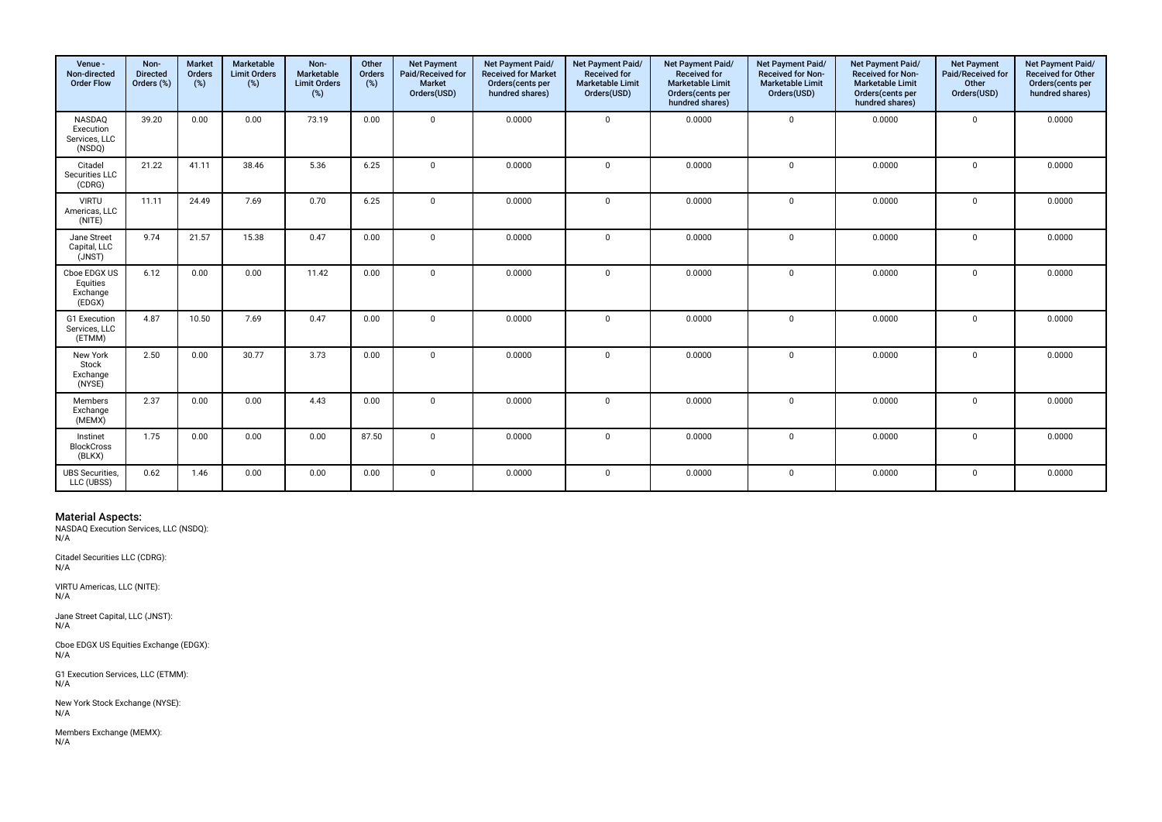| Venue -<br>Non-directed<br><b>Order Flow</b>   | Non-<br><b>Directed</b><br>Orders (%) | <b>Market</b><br>Orders<br>(%) | Marketable<br><b>Limit Orders</b><br>(%) | Non-<br>Marketable<br><b>Limit Orders</b><br>(%) | Other<br>Orders<br>(%) | <b>Net Payment</b><br>Paid/Received for<br><b>Market</b><br>Orders(USD) | Net Payment Paid/<br><b>Received for Market</b><br>Orders(cents per<br>hundred shares) | Net Payment Paid/<br><b>Received for</b><br><b>Marketable Limit</b><br>Orders(USD) | Net Payment Paid/<br><b>Received for</b><br><b>Marketable Limit</b><br>Orders(cents per<br>hundred shares) | Net Payment Paid/<br><b>Received for Non-</b><br><b>Marketable Limit</b><br>Orders(USD) | <b>Net Payment Paid/</b><br><b>Received for Non-</b><br><b>Marketable Limit</b><br>Orders(cents per<br>hundred shares) | <b>Net Payment</b><br>Paid/Received for<br>Other<br>Orders(USD) | Net Payment Paid/<br><b>Received for Other</b><br>Orders(cents per<br>hundred shares) |
|------------------------------------------------|---------------------------------------|--------------------------------|------------------------------------------|--------------------------------------------------|------------------------|-------------------------------------------------------------------------|----------------------------------------------------------------------------------------|------------------------------------------------------------------------------------|------------------------------------------------------------------------------------------------------------|-----------------------------------------------------------------------------------------|------------------------------------------------------------------------------------------------------------------------|-----------------------------------------------------------------|---------------------------------------------------------------------------------------|
| NASDAQ<br>Execution<br>Services, LLC<br>(NSDQ) | 39.20                                 | 0.00                           | 0.00                                     | 73.19                                            | 0.00                   | $\mathbf 0$                                                             | 0.0000                                                                                 | $\mathbf 0$                                                                        | 0.0000                                                                                                     | $\mathbf 0$                                                                             | 0.0000                                                                                                                 | $\mathbf{0}$                                                    | 0.0000                                                                                |
| Citadel<br>Securities LLC<br>(CDRG)            | 21.22                                 | 41.11                          | 38.46                                    | 5.36                                             | 6.25                   | $\mathbf 0$                                                             | 0.0000                                                                                 | $\mathbf 0$                                                                        | 0.0000                                                                                                     | $\mathbf 0$                                                                             | 0.0000                                                                                                                 | $\mathbf 0$                                                     | 0.0000                                                                                |
| <b>VIRTU</b><br>Americas, LLC<br>(NITE)        | 11.11                                 | 24.49                          | 7.69                                     | 0.70                                             | 6.25                   | $\mathbf 0$                                                             | 0.0000                                                                                 | $\mathbf 0$                                                                        | 0.0000                                                                                                     | $\mathbf 0$                                                                             | 0.0000                                                                                                                 | $\mathbf 0$                                                     | 0.0000                                                                                |
| Jane Street<br>Capital, LLC<br>(JNST)          | 9.74                                  | 21.57                          | 15.38                                    | 0.47                                             | 0.00                   | $\Omega$                                                                | 0.0000                                                                                 | $\mathbf 0$                                                                        | 0.0000                                                                                                     | $\mathbf 0$                                                                             | 0.0000                                                                                                                 | $\mathbf 0$                                                     | 0.0000                                                                                |
| Cboe EDGX US<br>Equities<br>Exchange<br>(EDGX) | 6.12                                  | 0.00                           | 0.00                                     | 11.42                                            | 0.00                   | $\mathbf{0}$                                                            | 0.0000                                                                                 | $\mathbf 0$                                                                        | 0.0000                                                                                                     | $\mathbf 0$                                                                             | 0.0000                                                                                                                 | $\mathbf 0$                                                     | 0.0000                                                                                |
| G1 Execution<br>Services, LLC<br>(ETMM)        | 4.87                                  | 10.50                          | 7.69                                     | 0.47                                             | 0.00                   | $\Omega$                                                                | 0.0000                                                                                 | $\mathbf 0$                                                                        | 0.0000                                                                                                     | $\mathbf 0$                                                                             | 0.0000                                                                                                                 | $\mathbf 0$                                                     | 0.0000                                                                                |
| New York<br>Stock<br>Exchange<br>(NYSE)        | 2.50                                  | 0.00                           | 30.77                                    | 3.73                                             | 0.00                   | $\mathbf{0}$                                                            | 0.0000                                                                                 | $\mathbf 0$                                                                        | 0.0000                                                                                                     | $\mathbf 0$                                                                             | 0.0000                                                                                                                 | $\mathbf 0$                                                     | 0.0000                                                                                |
| Members<br>Exchange<br>(MEMX)                  | 2.37                                  | 0.00                           | 0.00                                     | 4.43                                             | 0.00                   | $\Omega$                                                                | 0.0000                                                                                 | $\mathbf 0$                                                                        | 0.0000                                                                                                     | $\mathbf 0$                                                                             | 0.0000                                                                                                                 | $\mathbf 0$                                                     | 0.0000                                                                                |
| Instinet<br><b>BlockCross</b><br>(BLKX)        | 1.75                                  | 0.00                           | 0.00                                     | 0.00                                             | 87.50                  | $\mathbf 0$                                                             | 0.0000                                                                                 | $\mathbf 0$                                                                        | 0.0000                                                                                                     | $\mathbf 0$                                                                             | 0.0000                                                                                                                 | $\mathbf 0$                                                     | 0.0000                                                                                |
| <b>UBS</b> Securities,<br>LLC (UBSS)           | 0.62                                  | 1.46                           | 0.00                                     | 0.00                                             | 0.00                   | $\mathbf{0}$                                                            | 0.0000                                                                                 | $\mathbf 0$                                                                        | 0.0000                                                                                                     | $\mathbf 0$                                                                             | 0.0000                                                                                                                 | $\mathbf 0$                                                     | 0.0000                                                                                |

**Material Aspects:**<br>NASDAQ Execution Services, LLC (NSDQ):<br>N/A

Citadel Securities LLC (CDRG): N/A

VIRTU Americas, LLC (NITE): N/A

Jane Street Capital, LLC (JNST): N/A

Cboe EDGX US Equities Exchange (EDGX): N/A

G1 Execution Services, LLC (ETMM):  $N/A$ 

New York Stock Exchange (NYSE): N/A

Members Exchange (MEMX): N/A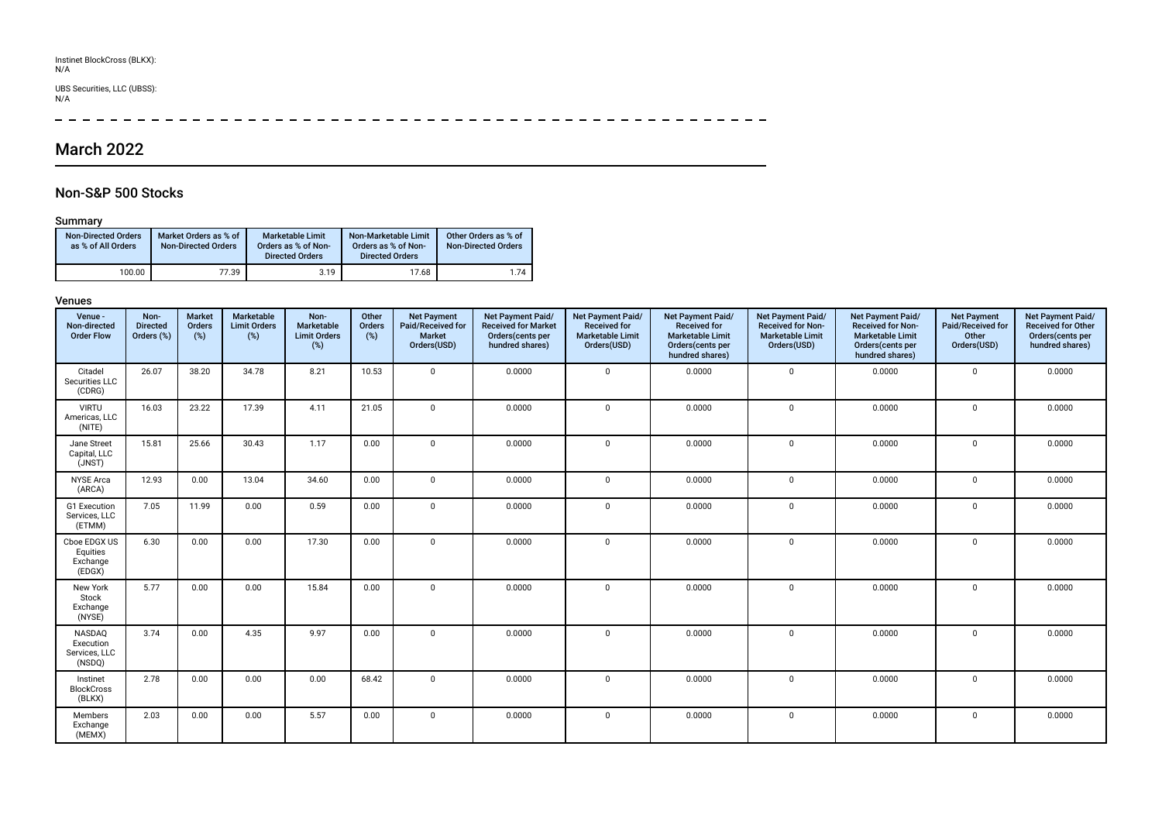# Instinet BlockCross (BLKX): N/A

# UBS Securities, LLC (UBSS): N/A

 $\overline{\phantom{a}}$  $\frac{1}{2}$  =  $\frac{1}{2}$  =  $\frac{1}{2}$  =  $\frac{1}{2}$  =  $\frac{1}{2}$  =  $\frac{1}{2}$  =  $\frac{1}{2}$ 

# March 2022

## Non-S&P 500 Stocks

### Summary

| <b>Non-Directed Orders</b><br>as % of All Orders | Market Orders as % of<br><b>Non-Directed Orders</b> | <b>Marketable Limit</b><br>Orders as % of Non-<br><b>Directed Orders</b> | Non-Marketable Limit<br>Orders as % of Non-<br><b>Directed Orders</b> | Other Orders as % of<br><b>Non-Directed Orders</b> |
|--------------------------------------------------|-----------------------------------------------------|--------------------------------------------------------------------------|-----------------------------------------------------------------------|----------------------------------------------------|
| 100.00                                           | 77.39                                               | 3.19                                                                     | 17.68                                                                 | 1.74                                               |

| Venue -<br>Non-directed<br><b>Order Flow</b>   | Non-<br><b>Directed</b><br>Orders (%) | <b>Market</b><br>Orders<br>(%) | Marketable<br><b>Limit Orders</b><br>$(\%)$ | Non-<br>Marketable<br><b>Limit Orders</b><br>(%) | Other<br>Orders<br>(%) | <b>Net Payment</b><br>Paid/Received for<br><b>Market</b><br>Orders(USD) | Net Payment Paid/<br><b>Received for Market</b><br>Orders(cents per<br>hundred shares) | Net Payment Paid/<br><b>Received for</b><br><b>Marketable Limit</b><br>Orders(USD) | Net Payment Paid/<br><b>Received for</b><br><b>Marketable Limit</b><br>Orders(cents per<br>hundred shares) | Net Payment Paid/<br><b>Received for Non-</b><br><b>Marketable Limit</b><br>Orders(USD) | Net Payment Paid/<br><b>Received for Non-</b><br><b>Marketable Limit</b><br>Orders(cents per<br>hundred shares) | <b>Net Payment</b><br>Paid/Received for<br>Other<br>Orders(USD) | Net Payment Paid/<br><b>Received for Other</b><br>Orders(cents per<br>hundred shares) |
|------------------------------------------------|---------------------------------------|--------------------------------|---------------------------------------------|--------------------------------------------------|------------------------|-------------------------------------------------------------------------|----------------------------------------------------------------------------------------|------------------------------------------------------------------------------------|------------------------------------------------------------------------------------------------------------|-----------------------------------------------------------------------------------------|-----------------------------------------------------------------------------------------------------------------|-----------------------------------------------------------------|---------------------------------------------------------------------------------------|
| Citadel<br>Securities LLC<br>(CDRG)            | 26.07                                 | 38.20                          | 34.78                                       | 8.21                                             | 10.53                  | $\Omega$                                                                | 0.0000                                                                                 | $\mathbf 0$                                                                        | 0.0000                                                                                                     | $\mathbf 0$                                                                             | 0.0000                                                                                                          | $\Omega$                                                        | 0.0000                                                                                |
| <b>VIRTU</b><br>Americas, LLC<br>(NITE)        | 16.03                                 | 23.22                          | 17.39                                       | 4.11                                             | 21.05                  | $\Omega$                                                                | 0.0000                                                                                 | $\mathbf 0$                                                                        | 0.0000                                                                                                     | $\mathbf 0$                                                                             | 0.0000                                                                                                          | $\Omega$                                                        | 0.0000                                                                                |
| Jane Street<br>Capital, LLC<br>(JNST)          | 15.81                                 | 25.66                          | 30.43                                       | 1.17                                             | 0.00                   | $\Omega$                                                                | 0.0000                                                                                 | $\mathbf 0$                                                                        | 0.0000                                                                                                     | $\mathbf 0$                                                                             | 0.0000                                                                                                          | $\mathbf 0$                                                     | 0.0000                                                                                |
| <b>NYSE Arca</b><br>(ARCA)                     | 12.93                                 | 0.00                           | 13.04                                       | 34.60                                            | 0.00                   | $\Omega$                                                                | 0.0000                                                                                 | $\mathbf{0}$                                                                       | 0.0000                                                                                                     | $\mathbf 0$                                                                             | 0.0000                                                                                                          | $\mathbf 0$                                                     | 0.0000                                                                                |
| G1 Execution<br>Services, LLC<br>(ETMM)        | 7.05                                  | 11.99                          | 0.00                                        | 0.59                                             | 0.00                   | $\Omega$                                                                | 0.0000                                                                                 | $\mathbf{0}$                                                                       | 0.0000                                                                                                     | $\mathbf 0$                                                                             | 0.0000                                                                                                          | $\mathbf 0$                                                     | 0.0000                                                                                |
| Cboe EDGX US<br>Equities<br>Exchange<br>(EDGX) | 6.30                                  | 0.00                           | 0.00                                        | 17.30                                            | 0.00                   | $\mathbf 0$                                                             | 0.0000                                                                                 | $\mathbf 0$                                                                        | 0.0000                                                                                                     | $\mathbf 0$                                                                             | 0.0000                                                                                                          | $\mathbf 0$                                                     | 0.0000                                                                                |
| New York<br>Stock<br>Exchange<br>(NYSE)        | 5.77                                  | 0.00                           | 0.00                                        | 15.84                                            | 0.00                   | $\mathbf 0$                                                             | 0.0000                                                                                 | $\mathbf 0$                                                                        | 0.0000                                                                                                     | $\mathbf 0$                                                                             | 0.0000                                                                                                          | $\mathbf 0$                                                     | 0.0000                                                                                |
| NASDAQ<br>Execution<br>Services, LLC<br>(NSDQ) | 3.74                                  | 0.00                           | 4.35                                        | 9.97                                             | 0.00                   | $\Omega$                                                                | 0.0000                                                                                 | $\mathbf 0$                                                                        | 0.0000                                                                                                     | $\mathbf 0$                                                                             | 0.0000                                                                                                          | $\mathbf 0$                                                     | 0.0000                                                                                |
| Instinet<br><b>BlockCross</b><br>(BLKX)        | 2.78                                  | 0.00                           | 0.00                                        | 0.00                                             | 68.42                  | $\Omega$                                                                | 0.0000                                                                                 | $\mathbf 0$                                                                        | 0.0000                                                                                                     | $\mathbf{0}$                                                                            | 0.0000                                                                                                          | $\mathbf 0$                                                     | 0.0000                                                                                |
| Members<br>Exchange<br>(MEMX)                  | 2.03                                  | 0.00                           | 0.00                                        | 5.57                                             | 0.00                   | $\mathbf{0}$                                                            | 0.0000                                                                                 | $\mathbf 0$                                                                        | 0.0000                                                                                                     | $\mathbf 0$                                                                             | 0.0000                                                                                                          | $\mathbf 0$                                                     | 0.0000                                                                                |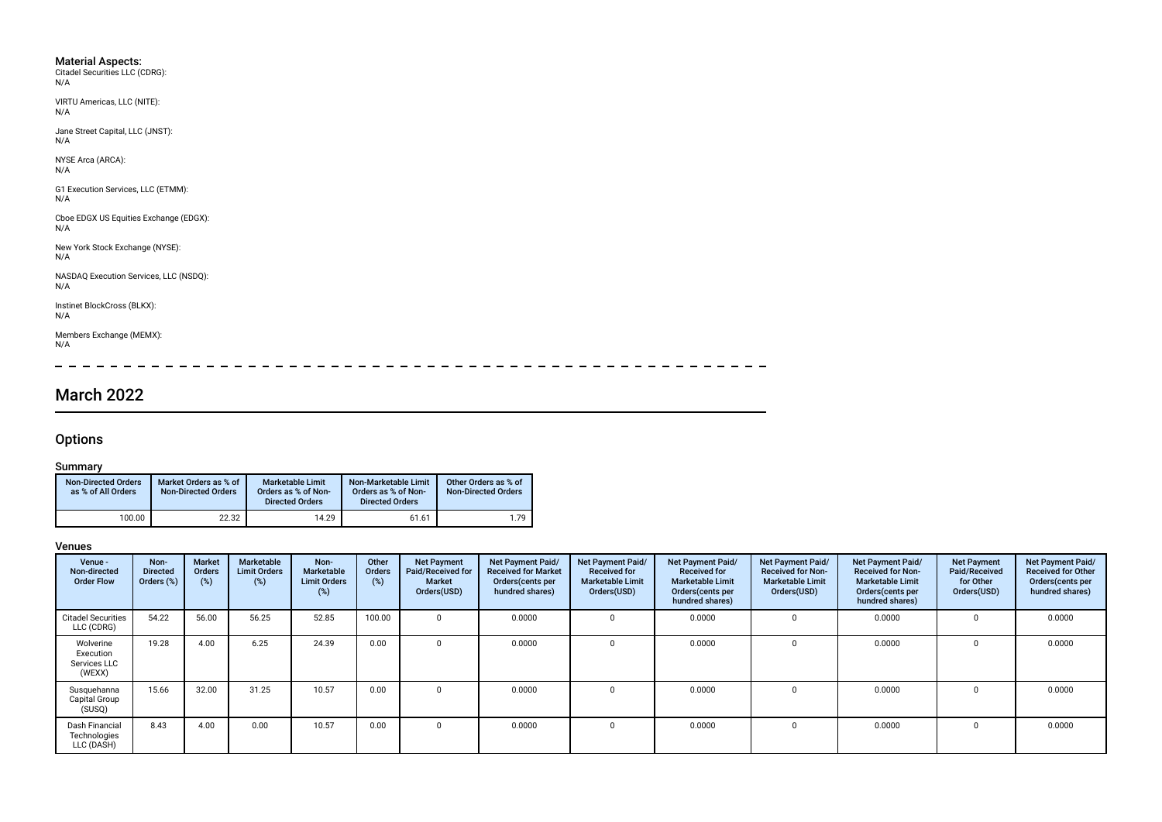- Material Aspects: Citadel Securities LLC (CDRG): N/A
- VIRTU Americas, LLC (NITE): N/A

Jane Street Capital, LLC (JNST): N/A

NYSE Arca (ARCA): N/A

G1 Execution Services, LLC (ETMM): N/A

Cboe EDGX US Equities Exchange (EDGX): N/A

New York Stock Exchange (NYSE): N/A

NASDAQ Execution Services, LLC (NSDQ):  $N/A$ 

Instinet BlockCross (BLKX): N/A

Members Exchange (MEMX): N/A

 $=$   $- - \overline{a}$  $- - - - - - \frac{1}{2}$  $\sim$  $\sim$  $\overline{\phantom{0}}$  $\equiv$  $\overline{\phantom{0}}$  $\overline{\phantom{0}}$  $\equiv$ 

# March 2022

## **Options**

### Summary

| <b>Non-Directed Orders</b><br>as % of All Orders | Market Orders as % of<br><b>Non-Directed Orders</b> | Marketable Limit<br>Orders as % of Non-<br><b>Directed Orders</b> | Non-Marketable Limit<br>Orders as % of Non-<br><b>Directed Orders</b> | Other Orders as % of<br><b>Non-Directed Orders</b> |
|--------------------------------------------------|-----------------------------------------------------|-------------------------------------------------------------------|-----------------------------------------------------------------------|----------------------------------------------------|
| 100.00                                           | 22.32                                               | 14.29                                                             | 61.61                                                                 | 1.79                                               |

| Venue -<br>Non-directed<br><b>Order Flow</b>     | Non-<br><b>Directed</b><br>Orders (%) | <b>Market</b><br>Orders<br>(%) | Marketable<br><b>Limit Orders</b><br>(%) | Non-<br>Marketable<br><b>Limit Orders</b><br>(%) | Other<br><b>Orders</b><br>(%) | <b>Net Payment</b><br>Paid/Received for<br>Market<br>Orders(USD) | Net Payment Paid/<br><b>Received for Market</b><br>Orders (cents per<br>hundred shares) | Net Payment Paid/<br><b>Received for</b><br><b>Marketable Limit</b><br>Orders(USD) | Net Payment Paid/<br><b>Received for</b><br><b>Marketable Limit</b><br>Orders(cents per<br>hundred shares) | Net Payment Paid/<br><b>Received for Non-</b><br><b>Marketable Limit</b><br>Orders(USD) | <b>Net Payment Paid/</b><br><b>Received for Non-</b><br><b>Marketable Limit</b><br>Orders (cents per<br>hundred shares) | <b>Net Payment</b><br>Paid/Received<br>for Other<br>Orders(USD) | Net Payment Paid/<br><b>Received for Other</b><br>Orders(cents per<br>hundred shares) |
|--------------------------------------------------|---------------------------------------|--------------------------------|------------------------------------------|--------------------------------------------------|-------------------------------|------------------------------------------------------------------|-----------------------------------------------------------------------------------------|------------------------------------------------------------------------------------|------------------------------------------------------------------------------------------------------------|-----------------------------------------------------------------------------------------|-------------------------------------------------------------------------------------------------------------------------|-----------------------------------------------------------------|---------------------------------------------------------------------------------------|
| <b>Citadel Securities</b><br>LLC (CDRG)          | 54.22                                 | 56.00                          | 56.25                                    | 52.85                                            | 100.00                        | $\Omega$                                                         | 0.0000                                                                                  | $\Omega$                                                                           | 0.0000                                                                                                     |                                                                                         | 0.0000                                                                                                                  |                                                                 | 0.0000                                                                                |
| Wolverine<br>Execution<br>Services LLC<br>(WEXX) | 19.28                                 | 4.00                           | 6.25                                     | 24.39                                            | 0.00                          | $\Omega$                                                         | 0.0000                                                                                  | $\Omega$                                                                           | 0.0000                                                                                                     |                                                                                         | 0.0000                                                                                                                  | <sup>0</sup>                                                    | 0.0000                                                                                |
| Susquehanna<br>Capital Group<br>(SUSQ)           | 15.66                                 | 32.00                          | 31.25                                    | 10.57                                            | 0.00                          |                                                                  | 0.0000                                                                                  | $\Omega$                                                                           | 0.0000                                                                                                     |                                                                                         | 0.0000                                                                                                                  |                                                                 | 0.0000                                                                                |
| Dash Financial<br>Technologies<br>LLC (DASH)     | 8.43                                  | 4.00                           | 0.00                                     | 10.57                                            | 0.00                          | $\Omega$                                                         | 0.0000                                                                                  | $\Omega$                                                                           | 0.0000                                                                                                     |                                                                                         | 0.0000                                                                                                                  |                                                                 | 0.0000                                                                                |